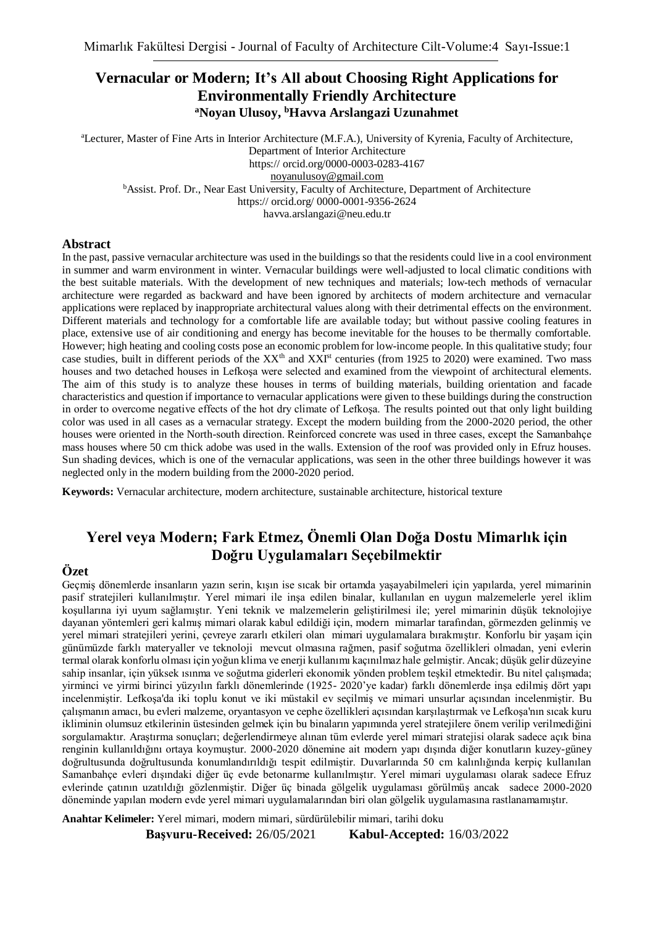### **Vernacular or Modern; It's All about Choosing Right Applications for Environmentally Friendly Architecture <sup>a</sup>Noyan Ulusoy, <sup>b</sup>Havva Arslangazi Uzunahmet**

<sup>a</sup>Lecturer, Master of Fine Arts in Interior Architecture (M.F.A.), University of Kyrenia, Faculty of Architecture, Department of Interior Architecture

https:// orcid.org/0000-0003-0283-4167

[noyanulusoy@gmail.com](mailto:noyanulusoy@gmail.com)

**b**Assist. Prof. Dr., Near East University, Faculty of Architecture, Department of Architecture

https:// orcid.org/ 0000-0001-9356-2624

havva.arslangazi@neu.edu.tr

#### **Abstract**

In the past, passive vernacular architecture was used in the buildings so that the residents could live in a cool environment in summer and warm environment in winter. Vernacular buildings were well-adjusted to local climatic conditions with the best suitable materials. With the development of new techniques and materials; low-tech methods of vernacular architecture were regarded as backward and have been ignored by architects of modern architecture and vernacular applications were replaced by inappropriate architectural values along with their detrimental effects on the environment. Different materials and technology for a comfortable life are available today; but without passive cooling features in place, extensive use of air conditioning and energy has become inevitable for the houses to be thermally comfortable. However; high heating and cooling costs pose an economic problem for low-income people. In this qualitative study; four case studies, built in different periods of the  $XX<sup>th</sup>$  and  $XX<sup>It</sup>$  centuries (from 1925 to 2020) were examined. Two mass houses and two detached houses in Lefkoşa were selected and examined from the viewpoint of architectural elements. The aim of this study is to analyze these houses in terms of building materials, building orientation and facade characteristics and question if importance to vernacular applications were given to these buildings during the construction in order to overcome negative effects of the hot dry climate of Lefkoşa. The results pointed out that only light building color was used in all cases as a vernacular strategy. Except the modern building from the 2000-2020 period, the other houses were oriented in the North-south direction. Reinforced concrete was used in three cases, except the Samanbahçe mass houses where 50 cm thick adobe was used in the walls. Extension of the roof was provided only in Efruz houses. Sun shading devices, which is one of the vernacular applications, was seen in the other three buildings however it was neglected only in the modern building from the 2000-2020 period.

**Keywords:** Vernacular architecture, modern architecture, sustainable architecture, historical texture

# **Yerel veya Modern; Fark Etmez, Önemli Olan Doğa Dostu Mimarlık için Doğru Uygulamaları Seçebilmektir**

#### **Özet**

Geçmiş dönemlerde insanların yazın serin, kışın ise sıcak bir ortamda yaşayabilmeleri için yapılarda, yerel mimarinin pasif stratejileri kullanılmıştır. Yerel mimari ile inşa edilen binalar, kullanılan en uygun malzemelerle yerel iklim koşullarına iyi uyum sağlamıştır. Yeni teknik ve malzemelerin geliştirilmesi ile; yerel mimarinin düşük teknolojiye dayanan yöntemleri geri kalmış mimari olarak kabul edildiği için, modern mimarlar tarafından, görmezden gelinmiş ve yerel mimari stratejileri yerini, çevreye zararlı etkileri olan mimari uygulamalara bırakmıştır. Konforlu bir yaşam için günümüzde farklı materyaller ve teknoloji mevcut olmasına rağmen, pasif soğutma özellikleri olmadan, yeni evlerin termal olarak konforlu olması için yoğun klima ve enerji kullanımı kaçınılmaz hale gelmiştir. Ancak; düşük gelir düzeyine sahip insanlar, için yüksek ısınma ve soğutma giderleri ekonomik yönden problem teşkil etmektedir. Bu nitel çalışmada; yirminci ve yirmi birinci yüzyılın farklı dönemlerinde (1925- 2020'ye kadar) farklı dönemlerde inşa edilmiş dört yapı incelenmiştir. Lefkoşa'da iki toplu konut ve iki müstakil ev seçilmiş ve mimari unsurlar açısından incelenmiştir. Bu çalışmanın amacı, bu evleri malzeme, oryantasyon ve cephe özellikleri açısından karşılaştırmak ve Lefkoşa'nın sıcak kuru ikliminin olumsuz etkilerinin üstesinden gelmek için bu binaların yapımında yerel stratejilere önem verilip verilmediğini sorgulamaktır. Araştırma sonuçları; değerlendirmeye alınan tüm evlerde yerel mimari stratejisi olarak sadece açık bina renginin kullanıldığını ortaya koymuştur. 2000-2020 dönemine ait modern yapı dışında diğer konutların kuzey-güney doğrultusunda doğrultusunda konumlandırıldığı tespit edilmiştir. Duvarlarında 50 cm kalınlığında kerpiç kullanılan Samanbahçe evleri dışındaki diğer üç evde betonarme kullanılmıştır. Yerel mimari uygulaması olarak sadece Efruz evlerinde çatının uzatıldığı gözlenmiştir. Diğer üç binada gölgelik uygulaması görülmüş ancak sadece 2000-2020 döneminde yapılan modern evde yerel mimari uygulamalarından biri olan gölgelik uygulamasına rastlanamamıştır.

**Anahtar Kelimeler:** Yerel mimari, modern mimari, sürdürülebilir mimari, tarihi doku

**Başvuru-Received:** 26/05/2021 **Kabul-Accepted:** 16/03/2022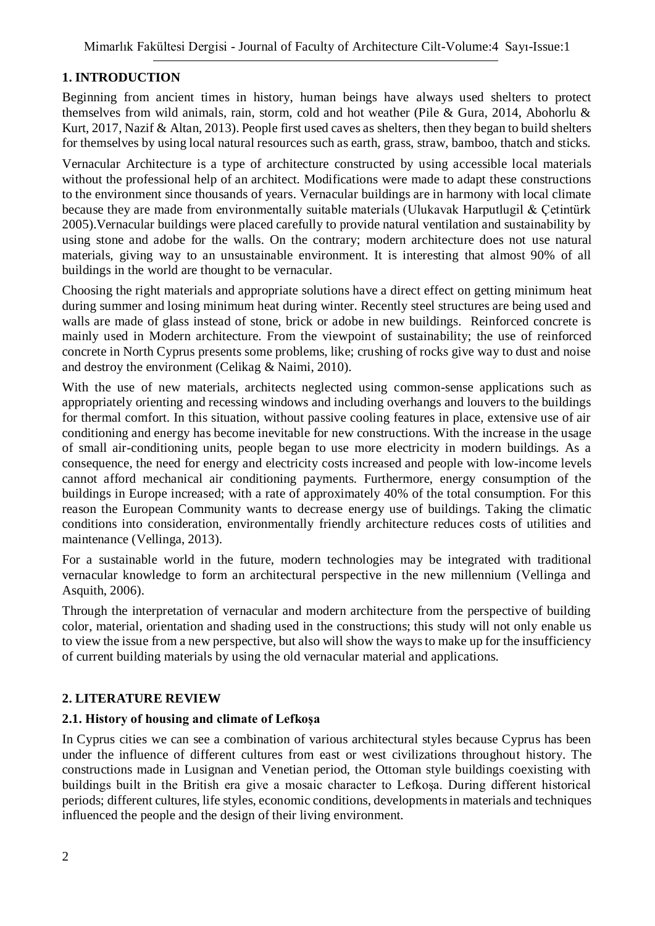### **1. INTRODUCTION**

Beginning from ancient times in history, human beings have always used shelters to protect themselves from wild animals, rain, storm, cold and hot weather (Pile & Gura, 2014, Abohorlu & Kurt, 2017, Nazif & Altan, 2013). People first used caves as shelters, then they began to build shelters for themselves by using local natural resources such as earth, grass, straw, bamboo, thatch and sticks.

Vernacular Architecture is a type of architecture constructed by using accessible local materials without the professional help of an architect. Modifications were made to adapt these constructions to the environment since thousands of years. Vernacular buildings are in harmony with local climate because they are made from environmentally suitable materials (Ulukavak Harputlugil & Çetintürk 2005).Vernacular buildings were placed carefully to provide natural ventilation and sustainability by using stone and adobe for the walls. On the contrary; modern architecture does not use natural materials, giving way to an unsustainable environment. It is interesting that almost 90% of all buildings in the world are thought to be vernacular.

Choosing the right materials and appropriate solutions have a direct effect on getting minimum heat during summer and losing minimum heat during winter. Recently steel structures are being used and walls are made of glass instead of stone, brick or adobe in new buildings. Reinforced concrete is mainly used in Modern architecture. From the viewpoint of sustainability; the use of reinforced concrete in North Cyprus presents some problems, like; crushing of rocks give way to dust and noise and destroy the environment (Celikag & Naimi, 2010).

With the use of new materials, architects neglected using common-sense applications such as appropriately orienting and recessing windows and including overhangs and louvers to the buildings for thermal comfort. In this situation, without passive cooling features in place, extensive use of air conditioning and energy has become inevitable for new constructions. With the increase in the usage of small air-conditioning units, people began to use more electricity in modern buildings. As a consequence, the need for energy and electricity costs increased and people with low-income levels cannot afford mechanical air conditioning payments. Furthermore, energy consumption of the buildings in Europe increased; with a rate of approximately 40% of the total consumption. For this reason the European Community wants to decrease energy use of buildings. Taking the climatic conditions into consideration, environmentally friendly architecture reduces costs of utilities and maintenance (Vellinga, 2013).

For a sustainable world in the future, modern technologies may be integrated with traditional vernacular knowledge to form an architectural perspective in the new millennium (Vellinga and Asquith, 2006).

Through the interpretation of vernacular and modern architecture from the perspective of building color, material, orientation and shading used in the constructions; this study will not only enable us to view the issue from a new perspective, but also will show the ways to make up for the insufficiency of current building materials by using the old vernacular material and applications.

### **2. LITERATURE REVIEW**

#### **2.1. History of housing and climate of Lefkoşa**

In Cyprus cities we can see a combination of various architectural styles because Cyprus has been under the influence of different cultures from east or west civilizations throughout history. The constructions made in Lusignan and Venetian period, the Ottoman style buildings coexisting with buildings built in the British era give a mosaic character to Lefkoşa. During different historical periods; different cultures, life styles, economic conditions, developments in materials and techniques influenced the people and the design of their living environment.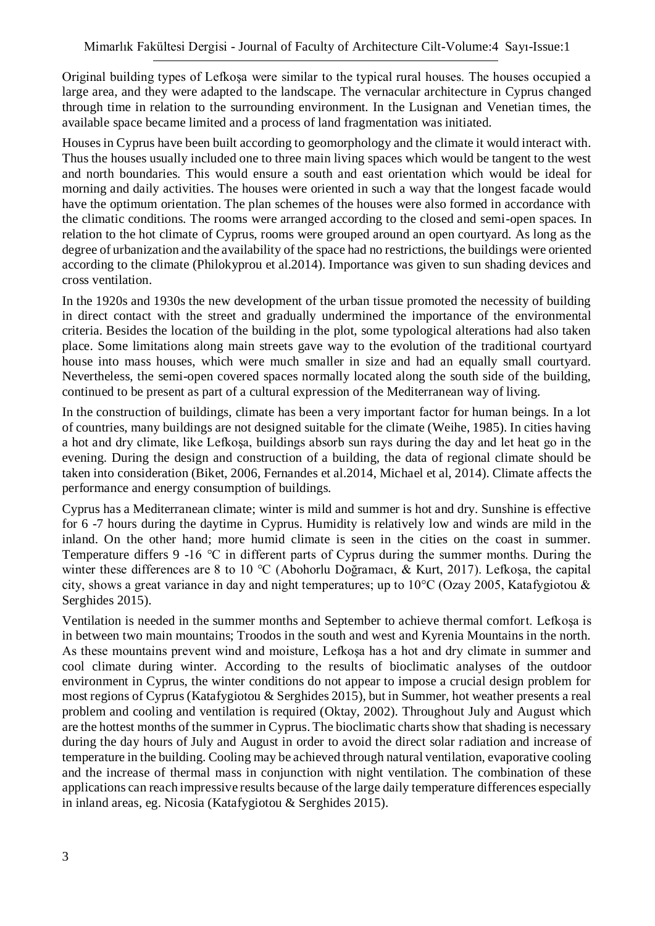Original building types of Lefkoşa were similar to the typical rural houses. The houses occupied a large area, and they were adapted to the landscape. The vernacular architecture in Cyprus changed through time in relation to the surrounding environment. In the Lusignan and Venetian times, the available space became limited and a process of land fragmentation was initiated.

Houses in Cyprus have been built according to geomorphology and the climate it would interact with. Thus the houses usually included one to three main living spaces which would be tangent to the west and north boundaries. This would ensure a south and east orientation which would be ideal for morning and daily activities. The houses were oriented in such a way that the longest facade would have the optimum orientation. The plan schemes of the houses were also formed in accordance with the climatic conditions. The rooms were arranged according to the closed and semi-open spaces. In relation to the hot climate of Cyprus, rooms were grouped around an open courtyard. As long as the degree of urbanization and the availability of the space had no restrictions, the buildings were oriented according to the climate (Philokyprou et al.2014). Importance was given to sun shading devices and cross ventilation.

In the 1920s and 1930s the new development of the urban tissue promoted the necessity of building in direct contact with the street and gradually undermined the importance of the environmental criteria. Besides the location of the building in the plot, some typological alterations had also taken place. Some limitations along main streets gave way to the evolution of the traditional courtyard house into mass houses, which were much smaller in size and had an equally small courtyard. Nevertheless, the semi-open covered spaces normally located along the south side of the building, continued to be present as part of a cultural expression of the Mediterranean way of living.

In the construction of buildings, climate has been a very important factor for human beings. In a lot of countries, many buildings are not designed suitable for the climate (Weihe, 1985). In cities having a hot and dry climate, like Lefkoşa, buildings absorb sun rays during the day and let heat go in the evening. During the design and construction of a building, the data of regional climate should be taken into consideration (Biket, 2006, Fernandes et al.2014, Michael et al, 2014). Climate affects the performance and energy consumption of buildings.

Cyprus has a Mediterranean climate; winter is mild and summer is hot and dry. Sunshine is effective for 6 -7 hours during the daytime in Cyprus. Humidity is relatively low and winds are mild in the inland. On the other hand; more humid climate is seen in the cities on the coast in summer. Temperature differs 9 -16 °C in different parts of Cyprus during the summer months. During the winter these differences are 8 to 10 °C (Abohorlu Doğramacı, & Kurt, 2017). Lefkoşa, the capital city, shows a great variance in day and night temperatures; up to 10°C (Ozay 2005, Katafygiotou & Serghides 2015).

Ventilation is needed in the summer months and September to achieve thermal comfort. Lefkoşa is in between two main mountains; Troodos in the south and west and Kyrenia Mountains in the north. As these mountains prevent wind and moisture, Lefkoşa has a hot and dry climate in summer and cool climate during winter. According to the results of bioclimatic analyses of the outdoor environment in Cyprus, the winter conditions do not appear to impose a crucial design problem for most regions of Cyprus (Katafygiotou & Serghides 2015), but in Summer, hot weather presents a real problem and cooling and ventilation is required (Oktay, 2002). Throughout July and August which are the hottest months of the summer in Cyprus. The bioclimatic charts show that shading is necessary during the day hours of July and August in order to avoid the direct solar radiation and increase of temperature in the building. Cooling may be achieved through natural ventilation, evaporative cooling and the increase of thermal mass in conjunction with night ventilation. The combination of these applications can reach impressive results because of the large daily temperature differences especially in inland areas, eg. Nicosia (Katafygiotou & Serghides 2015).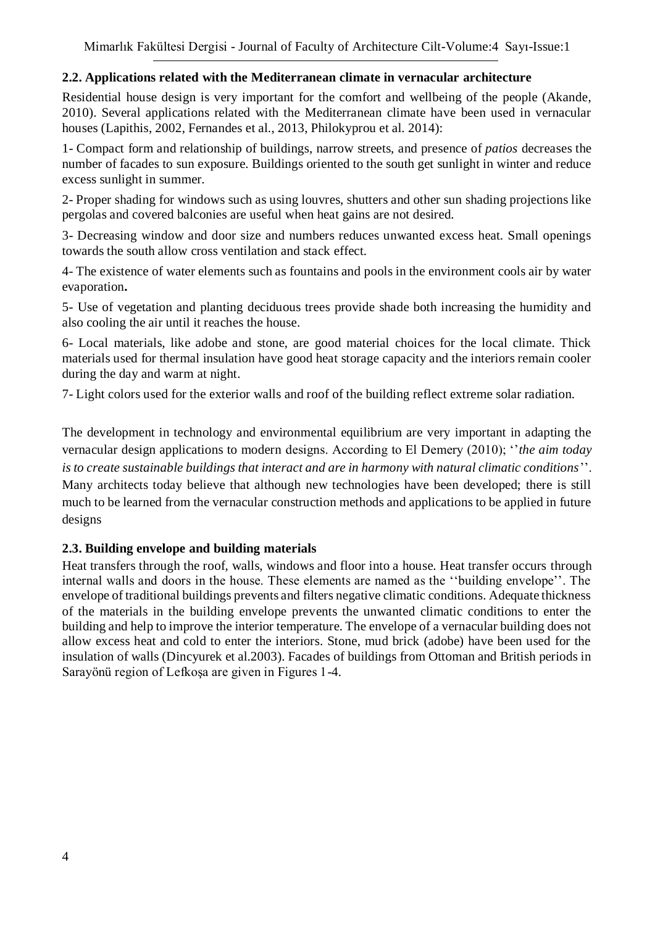### **2.2. Applications related with the Mediterranean climate in vernacular architecture**

Residential house design is very important for the comfort and wellbeing of the people (Akande, 2010). Several applications related with the Mediterranean climate have been used in vernacular houses (Lapithis, 2002, Fernandes et al., 2013, Philokyprou et al. 2014):

1- Compact form and relationship of buildings, narrow streets, and presence of *patios* decreases the number of facades to sun exposure. Buildings oriented to the south get sunlight in winter and reduce excess sunlight in summer.

2- Proper shading for windows such as using louvres, shutters and other sun shading projections like pergolas and covered balconies are useful when heat gains are not desired.

3- Decreasing window and door size and numbers reduces unwanted excess heat. Small openings towards the south allow cross ventilation and stack effect.

4- The existence of water elements such as fountains and pools in the environment cools air by water evaporation**.**

5- Use of vegetation and planting deciduous trees provide shade both increasing the humidity and also cooling the air until it reaches the house.

6- Local materials, like adobe and stone, are good material choices for the local climate. Thick materials used for thermal insulation have good heat storage capacity and the interiors remain cooler during the day and warm at night.

7- Light colors used for the exterior walls and roof of the building reflect extreme solar radiation.

The development in technology and environmental equilibrium are very important in adapting the vernacular design applications to modern designs. According to El Demery (2010); ''*the aim today is to create sustainable buildings that interact and are in harmony with natural climatic conditions*''. Many architects today believe that although new technologies have been developed; there is still much to be learned from the vernacular construction methods and applications to be applied in future designs

#### **2.3. Building envelope and building materials**

Heat transfers through the roof, walls, windows and floor into a house. Heat transfer occurs through internal walls and doors in the house. These elements are named as the ''building envelope''. The envelope of traditional buildings prevents and filters negative climatic conditions. Adequate thickness of the materials in the building envelope prevents the unwanted climatic conditions to enter the building and help to improve the interior temperature. The envelope of a vernacular building does not allow excess heat and cold to enter the interiors. Stone, mud brick (adobe) have been used for the insulation of walls (Dincyurek et al.2003). Facades of buildings from Ottoman and British periods in Sarayönü region of Lefkoşa are given in Figures 1-4.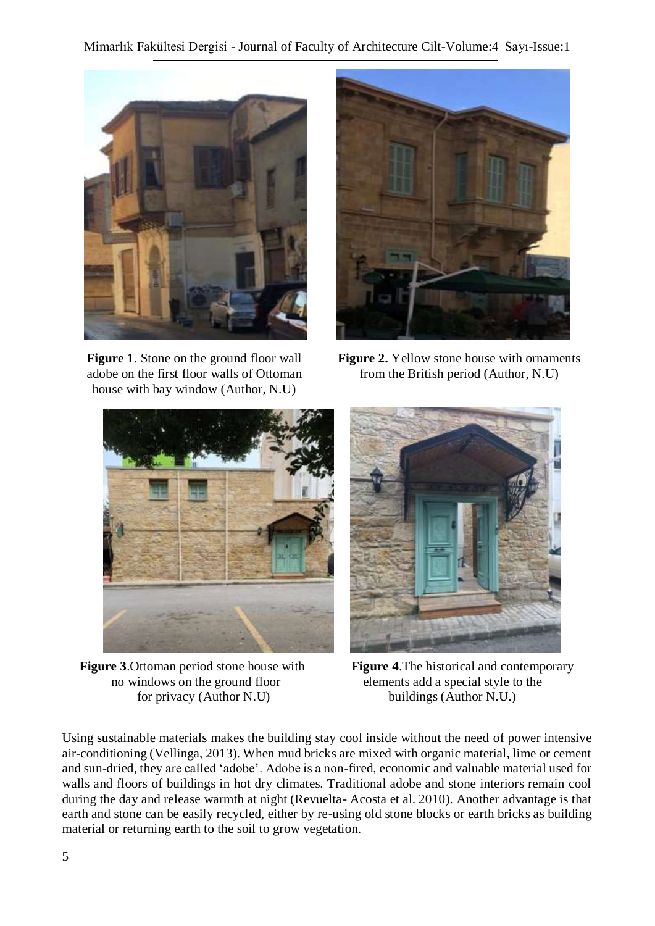

**Figure 1**. Stone on the ground floor wall adobe on the first floor walls of Ottoman house with bay window (Author, N.U)



**Figure 2.** Yellow stone house with ornaments from the British period (Author, N.U)



**Figure 3**.Ottoman period stone house with **Figure 4**.The historical and contemporary no windows on the ground floor elements add a special style to the for privacy (Author N.U) buildings (Author N.U.)



Using sustainable materials makes the building stay cool inside without the need of power intensive air-conditioning (Vellinga, 2013). When mud bricks are mixed with organic material, lime or cement and sun-dried, they are called 'adobe'. Adobe is a non-fired, economic and valuable material used for walls and floors of buildings in hot dry climates. Traditional adobe and stone interiors remain cool during the day and release warmth at night (Revuelta- Acosta et al. 2010). Another advantage is that earth and stone can be easily recycled, either by re-using old stone blocks or earth bricks as building material or returning earth to the soil to grow vegetation.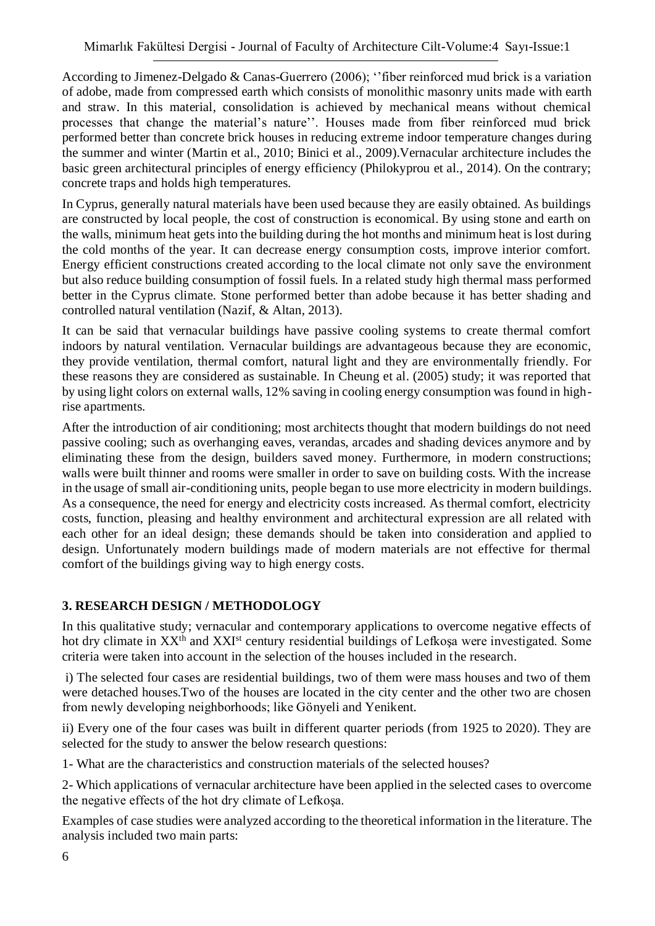According to Jimenez-Delgado & Canas-Guerrero (2006); ''fiber reinforced mud brick is a variation of adobe, made from compressed earth which consists of monolithic masonry units made with earth and straw. In this material, consolidation is achieved by mechanical means without chemical processes that change the material's nature''. Houses made from fiber reinforced mud brick performed better than concrete brick houses in reducing extreme indoor temperature changes during the summer and winter (Martin et al., 2010; Binici et al., 2009).Vernacular architecture includes the basic green architectural principles of energy efficiency (Philokyprou et al., 2014). On the contrary; concrete traps and holds high temperatures.

In Cyprus, generally natural materials have been used because they are easily obtained. As buildings are constructed by local people, the cost of construction is economical. By using stone and earth on the walls, minimum heat gets into the building during the hot months and minimum heat is lost during the cold months of the year. It can decrease energy consumption costs, improve interior comfort. Energy efficient constructions created according to the local climate not only save the environment but also reduce building consumption of fossil fuels. In a related study high thermal mass performed better in the Cyprus climate. Stone performed better than adobe because it has better shading and controlled natural ventilation (Nazif, & Altan, 2013).

It can be said that vernacular buildings have passive cooling systems to create thermal comfort indoors by natural ventilation. Vernacular buildings are advantageous because they are economic, they provide ventilation, thermal comfort, natural light and they are environmentally friendly. For these reasons they are considered as sustainable. In Cheung et al. (2005) study; it was reported that by using light colors on external walls, 12% saving in cooling energy consumption was found in highrise apartments.

After the introduction of air conditioning; most architects thought that modern buildings do not need passive cooling; such as overhanging eaves, verandas, arcades and shading devices anymore and by eliminating these from the design, builders saved money. Furthermore, in modern constructions; walls were built thinner and rooms were smaller in order to save on building costs. With the increase in the usage of small air-conditioning units, people began to use more electricity in modern buildings. As a consequence, the need for energy and electricity costs increased. As thermal comfort, electricity costs, function, pleasing and healthy environment and architectural expression are all related with each other for an ideal design; these demands should be taken into consideration and applied to design. Unfortunately modern buildings made of modern materials are not effective for thermal comfort of the buildings giving way to high energy costs.

### **3. RESEARCH DESIGN / METHODOLOGY**

In this qualitative study; vernacular and contemporary applications to overcome negative effects of hot dry climate in XX<sup>th</sup> and XXI<sup>st</sup> century residential buildings of Lefkosa were investigated. Some criteria were taken into account in the selection of the houses included in the research.

i) The selected four cases are residential buildings, two of them were mass houses and two of them were detached houses.Two of the houses are located in the city center and the other two are chosen from newly developing neighborhoods; like Gönyeli and Yenikent.

ii) Every one of the four cases was built in different quarter periods (from 1925 to 2020). They are selected for the study to answer the below research questions:

1- What are the characteristics and construction materials of the selected houses?

2- Which applications of vernacular architecture have been applied in the selected cases to overcome the negative effects of the hot dry climate of Lefkoşa.

Examples of case studies were analyzed according to the theoretical information in the literature. The analysis included two main parts: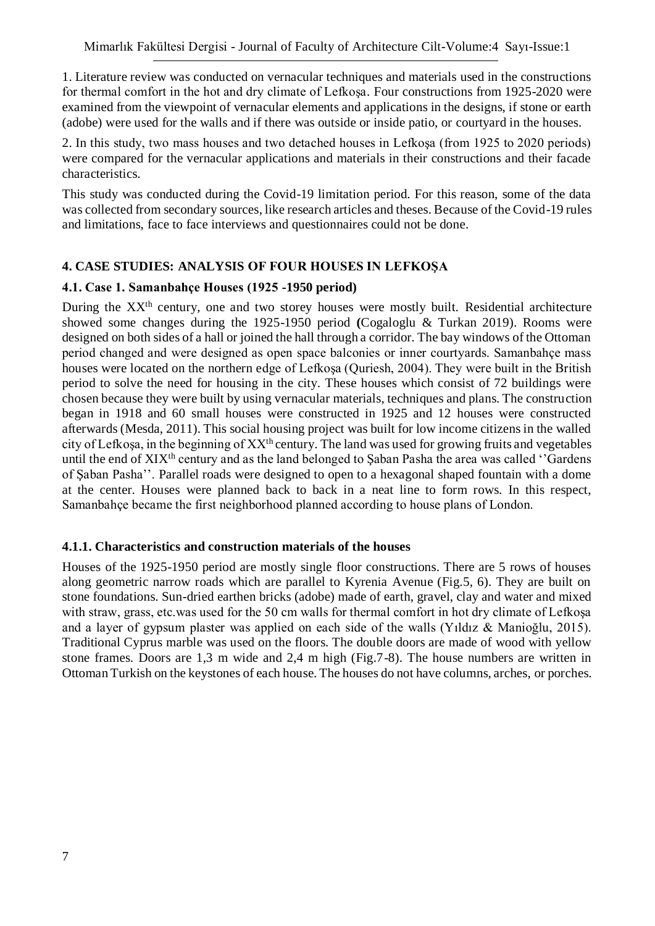1. Literature review was conducted on vernacular techniques and materials used in the constructions for thermal comfort in the hot and dry climate of Lefkoşa. Four constructions from 1925-2020 were examined from the viewpoint of vernacular elements and applications in the designs, if stone or earth (adobe) were used for the walls and if there was outside or inside patio, or courtyard in the houses.

2. In this study, two mass houses and two detached houses in Lefkoşa (from 1925 to 2020 periods) were compared for the vernacular applications and materials in their constructions and their facade characteristics.

This study was conducted during the Covid-19 limitation period. For this reason, some of the data was collected from secondary sources, like research articles and theses. Because of the Covid-19 rules and limitations, face to face interviews and questionnaires could not be done.

#### **4. CASE STUDIES: ANALYSIS OF FOUR HOUSES IN LEFKOŞA**

#### **4.1. Case 1. Samanbahçe Houses (1925 -1950 period)**

During the XX<sup>th</sup> century, one and two storey houses were mostly built. Residential architecture showed some changes during the 1925-1950 period **(**Cogaloglu & Turkan 2019). Rooms were designed on both sides of a hall or joined the hall through a corridor. The bay windows of the Ottoman period changed and were designed as open space balconies or inner courtyards. Samanbahçe mass houses were located on the northern edge of Lefkoşa (Quriesh, 2004). They were built in the British period to solve the need for housing in the city. These houses which consist of 72 buildings were chosen because they were built by using vernacular materials, techniques and plans. The construction began in 1918 and 60 small houses were constructed in 1925 and 12 houses were constructed afterwards (Mesda, 2011). This social housing project was built for low income citizens in the walled city of Lefkoşa, in the beginning of XXth century. The land was used for growing fruits and vegetables until the end of XIX<sup>th</sup> century and as the land belonged to Saban Pasha the area was called "Gardens" of Şaban Pasha''. Parallel roads were designed to open to a hexagonal shaped fountain with a dome at the center. Houses were planned back to back in a neat line to form rows. In this respect, Samanbahçe became the first neighborhood planned according to house plans of London.

#### **4.1.1. Characteristics and construction materials of the houses**

Houses of the 1925-1950 period are mostly single floor constructions. There are 5 rows of houses along geometric narrow roads which are parallel to Kyrenia Avenue (Fig.5, 6). They are built on stone foundations. Sun-dried earthen bricks (adobe) made of earth, gravel, clay and water and mixed with straw, grass, etc.was used for the 50 cm walls for thermal comfort in hot dry climate of Lefkoşa and a layer of gypsum plaster was applied on each side of the walls (Yıldız & Manioğlu, 2015). Traditional Cyprus marble was used on the floors. The double doors are made of wood with yellow stone frames. Doors are 1,3 m wide and 2,4 m high (Fig.7-8). The house numbers are written in Ottoman Turkish on the keystones of each house. The houses do not have columns, arches, or porches.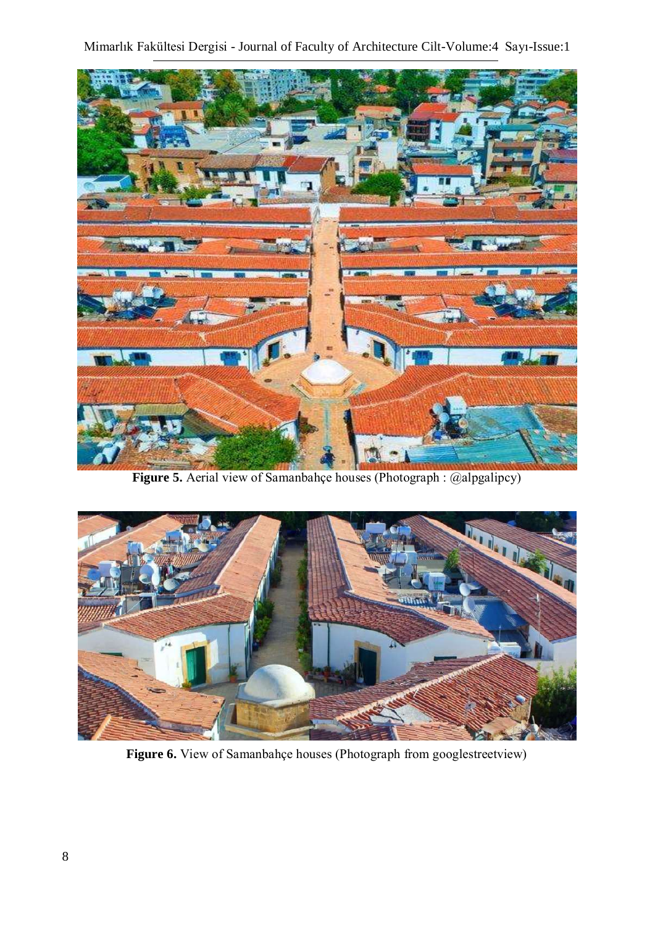

**Figure 5.** Aerial view of Samanbahçe houses (Photograph : @alpgalipcy)



Figure 6. View of Samanbahçe houses (Photograph from googlestreetview)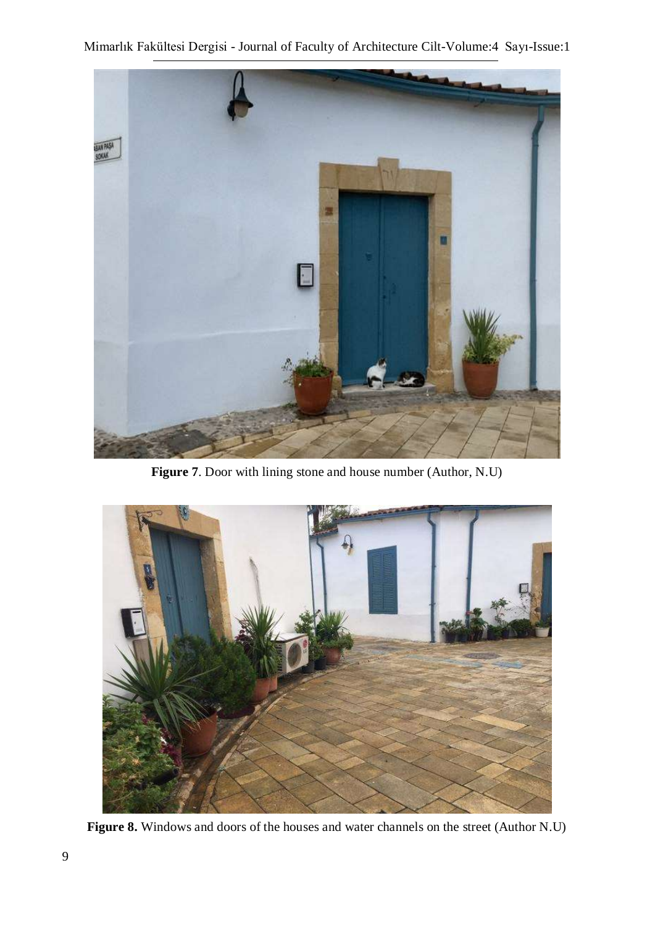

**Figure 7**. Door with lining stone and house number (Author, N.U)



**Figure 8.** Windows and doors of the houses and water channels on the street (Author N.U)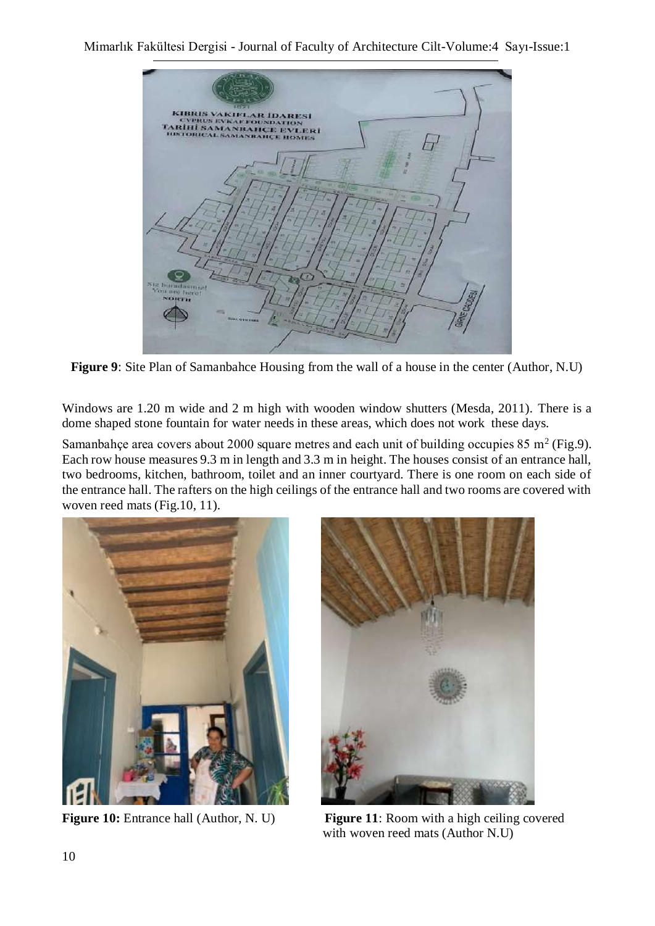

**Figure 9**: Site Plan of Samanbahce Housing from the wall of a house in the center (Author, N.U)

Windows are 1.20 m wide and 2 m high with wooden window shutters (Mesda, 2011). There is a dome shaped stone fountain for water needs in these areas, which does not work these days.

Samanbahçe area covers about 2000 square metres and each unit of building occupies 85 m<sup>2</sup> (Fig.9). Each row house measures 9.3 m in length and 3.3 m in height. The houses consist of an entrance hall, two bedrooms, kitchen, bathroom, toilet and an inner courtyard. There is one room on each side of the entrance hall. The rafters on the high ceilings of the entrance hall and two rooms are covered with woven reed mats (Fig.10, 11).





**Figure 10:** Entrance hall (Author, N. U) **Figure 11**: Room with a high ceiling covered with woven reed mats (Author N.U)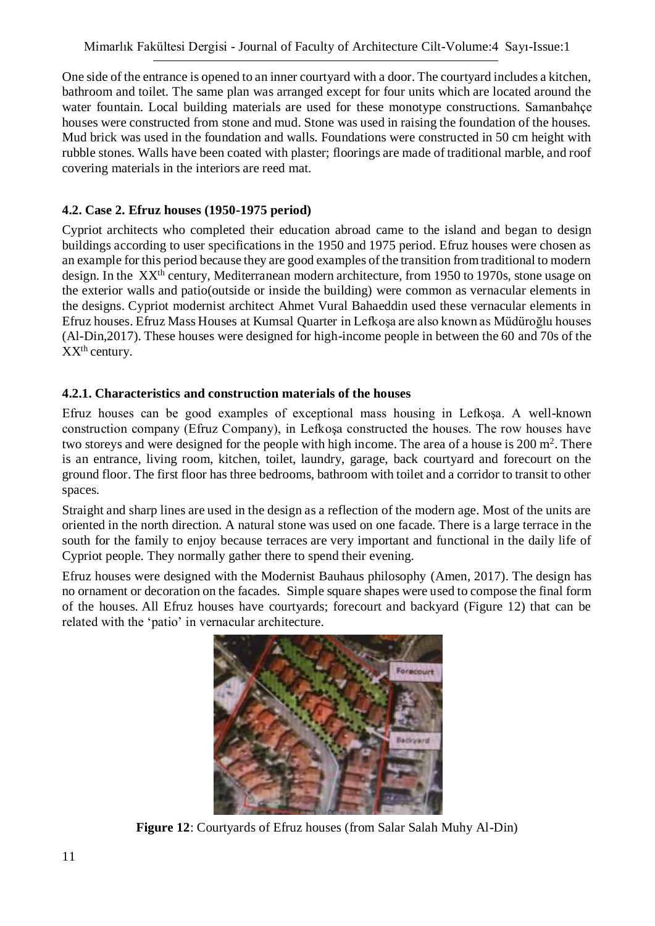One side of the entrance is opened to an inner courtyard with a door. The courtyard includes a kitchen, bathroom and toilet. The same plan was arranged except for four units which are located around the water fountain. Local building materials are used for these monotype constructions. Samanbahçe houses were constructed from stone and mud. Stone was used in raising the foundation of the houses. Mud brick was used in the foundation and walls. Foundations were constructed in 50 cm height with rubble stones. Walls have been coated with plaster; floorings are made of traditional marble, and roof covering materials in the interiors are reed mat.

## **4.2. Case 2. Efruz houses (1950-1975 period)**

Cypriot architects who completed their education abroad came to the island and began to design buildings according to user specifications in the 1950 and 1975 period. Efruz houses were chosen as an example for this period because they are good examples of the transition from traditional to modern design. In the XX<sup>th</sup> century, Mediterranean modern architecture, from 1950 to 1970s, stone usage on the exterior walls and patio(outside or inside the building) were common as vernacular elements in the designs. Cypriot modernist architect Ahmet Vural Bahaeddin used these vernacular elements in Efruz houses. Efruz Mass Houses at Kumsal Quarter in Lefkoşa are also known as Müdüroğlu houses (Al-Din,2017). These houses were designed for high-income people in between the 60 and 70s of the XXth century.

### **4.2.1. Characteristics and construction materials of the houses**

Efruz houses can be good examples of exceptional mass housing in Lefkoşa. A well-known construction company (Efruz Company), in Lefkoşa constructed the houses. The row houses have two storeys and were designed for the people with high income. The area of a house is  $200 \text{ m}^2$ . There is an entrance, living room, kitchen, toilet, laundry, garage, back courtyard and forecourt on the ground floor. The first floor has three bedrooms, bathroom with toilet and a corridor to transit to other spaces.

Straight and sharp lines are used in the design as a reflection of the modern age. Most of the units are oriented in the north direction. A natural stone was used on one facade. There is a large terrace in the south for the family to enjoy because terraces are very important and functional in the daily life of Cypriot people. They normally gather there to spend their evening.

Efruz houses were designed with the Modernist Bauhaus philosophy (Amen, 2017). The design has no ornament or decoration on the facades. Simple square shapes were used to compose the final form of the houses. All Efruz houses have courtyards; forecourt and backyard (Figure 12) that can be related with the 'patio' in vernacular architecture.



**Figure 12**: Courtyards of Efruz houses (from Salar Salah Muhy Al-Din)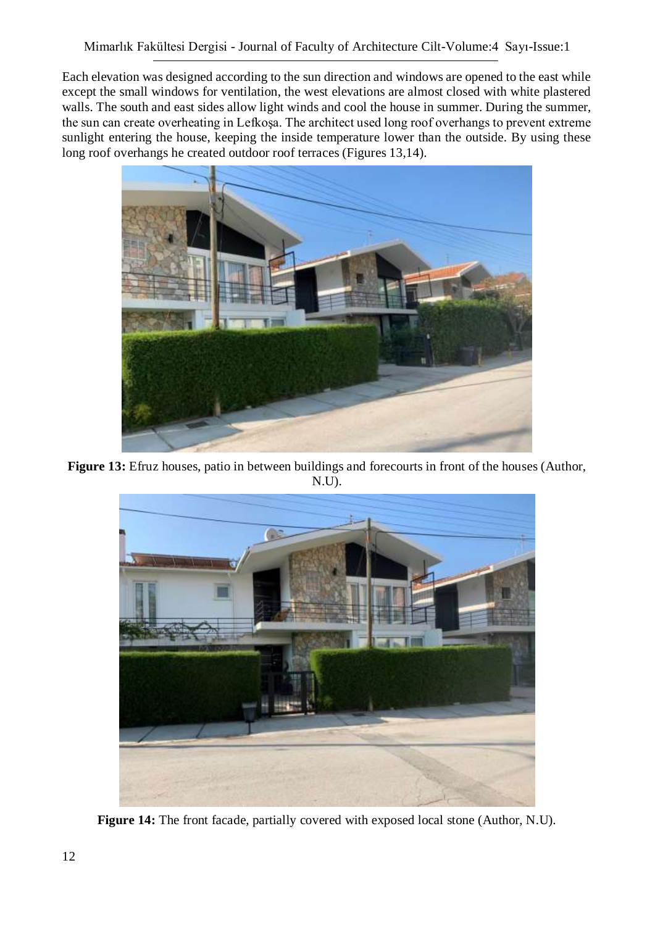Each elevation was designed according to the sun direction and windows are opened to the east while except the small windows for ventilation, the west elevations are almost closed with white plastered walls. The south and east sides allow light winds and cool the house in summer. During the summer, the sun can create overheating in Lefkoşa. The architect used long roof overhangs to prevent extreme sunlight entering the house, keeping the inside temperature lower than the outside. By using these long roof overhangs he created outdoor roof terraces (Figures 13,14).



**Figure 13:** Efruz houses, patio in between buildings and forecourts in front of the houses (Author, N.U).



**Figure 14:** The front facade, partially covered with exposed local stone (Author, N.U).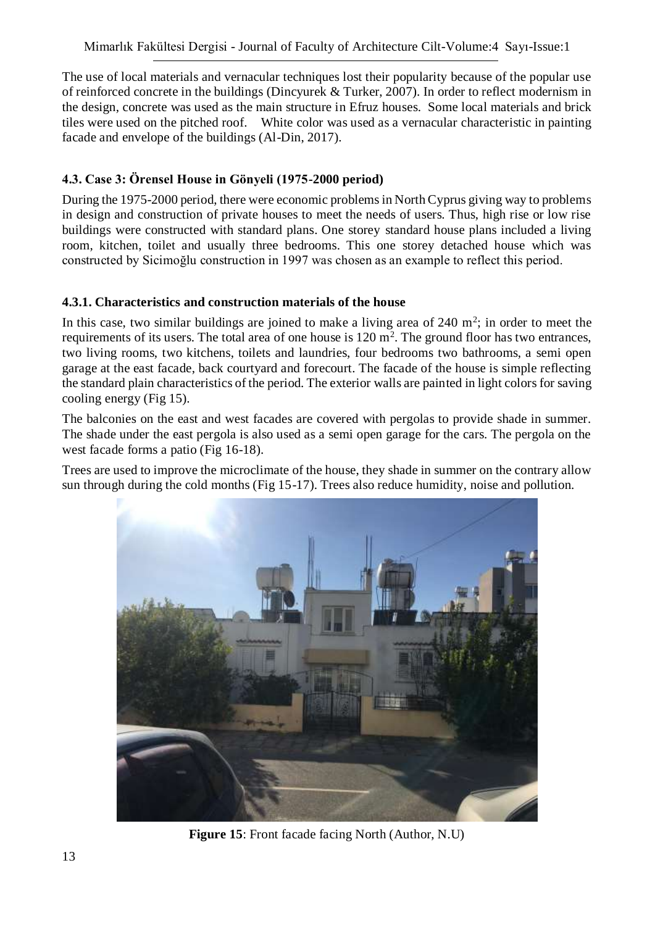The use of local materials and vernacular techniques lost their popularity because of the popular use of reinforced concrete in the buildings (Dincyurek & Turker, 2007). In order to reflect modernism in the design, concrete was used as the main structure in Efruz houses. Some local materials and brick tiles were used on the pitched roof. White color was used as a vernacular characteristic in painting facade and envelope of the buildings (Al-Din, 2017).

## **4.3. Case 3: Örensel House in Gönyeli (1975-2000 period)**

During the 1975-2000 period, there were economic problems in North Cyprus giving way to problems in design and construction of private houses to meet the needs of users. Thus, high rise or low rise buildings were constructed with standard plans. One storey standard house plans included a living room, kitchen, toilet and usually three bedrooms. This one storey detached house which was constructed by Sicimoğlu construction in 1997 was chosen as an example to reflect this period.

### **4.3.1. Characteristics and construction materials of the house**

In this case, two similar buildings are joined to make a living area of  $240 \text{ m}^2$ ; in order to meet the requirements of its users. The total area of one house is  $120 \text{ m}^2$ . The ground floor has two entrances, two living rooms, two kitchens, toilets and laundries, four bedrooms two bathrooms, a semi open garage at the east facade, back courtyard and forecourt. The facade of the house is simple reflecting the standard plain characteristics of the period. The exterior walls are painted in light colors for saving cooling energy (Fig 15).

The balconies on the east and west facades are covered with pergolas to provide shade in summer. The shade under the east pergola is also used as a semi open garage for the cars. The pergola on the west facade forms a patio (Fig 16-18).

Trees are used to improve the microclimate of the house, they shade in summer on the contrary allow sun through during the cold months (Fig 15-17). Trees also reduce humidity, noise and pollution.



**Figure 15**: Front facade facing North (Author, N.U)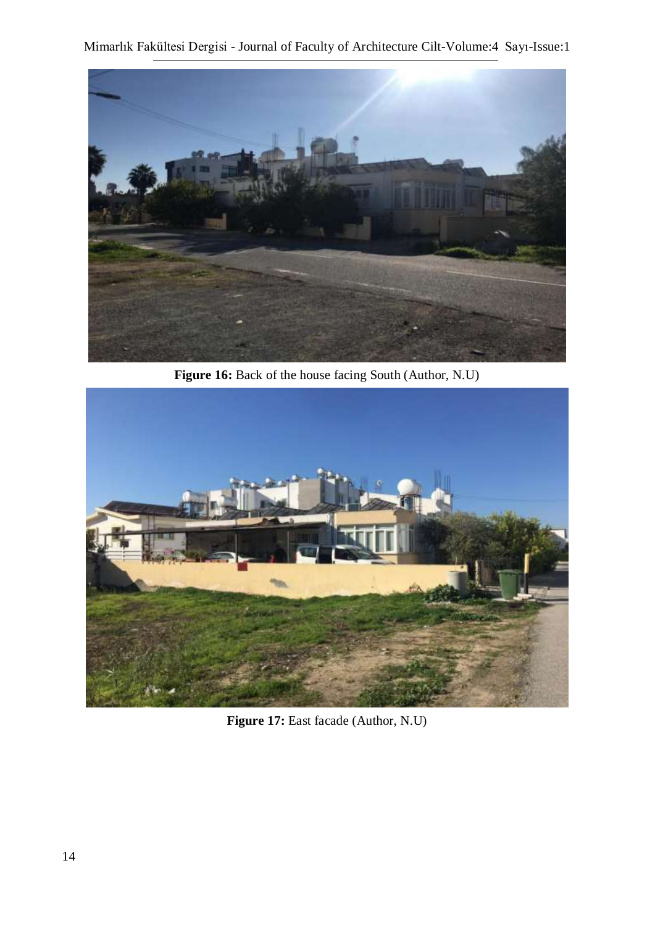

**Figure 16:** Back of the house facing South (Author, N.U)



**Figure 17:** East facade (Author, N.U)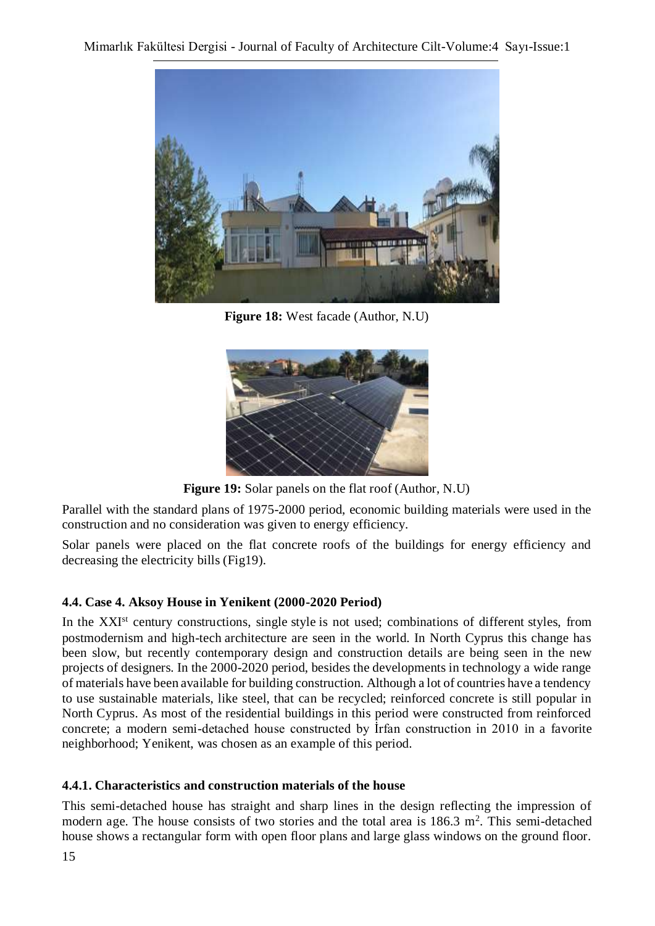

**Figure 18:** West facade (Author, N.U)



**Figure 19:** Solar panels on the flat roof (Author, N.U)

Parallel with the standard plans of 1975-2000 period, economic building materials were used in the construction and no consideration was given to energy efficiency.

Solar panels were placed on the flat concrete roofs of the buildings for energy efficiency and decreasing the electricity bills (Fig19).

### **4.4. Case 4. Aksoy House in Yenikent (2000-2020 Period)**

In the XXI<sup>st</sup> century constructions, single style is not used; combinations of different styles, from postmodernism and high-tech architecture are seen in the world. In North Cyprus this change has been slow, but recently contemporary design and construction details are being seen in the new projects of designers. In the 2000-2020 period, besides the developments in technology a wide range of materials have been available for building construction. Although a lot of countries have a tendency to use sustainable materials, like steel, that can be recycled; reinforced concrete is still popular in North Cyprus. As most of the residential buildings in this period were constructed from reinforced concrete; a modern semi-detached house constructed by İrfan construction in 2010 in a favorite neighborhood; Yenikent, was chosen as an example of this period.

#### **4.4.1. Characteristics and construction materials of the house**

This semi-detached house has straight and sharp lines in the design reflecting the impression of modern age. The house consists of two stories and the total area is  $186.3 \text{ m}^2$ . This semi-detached house shows a rectangular form with open floor plans and large glass windows on the ground floor.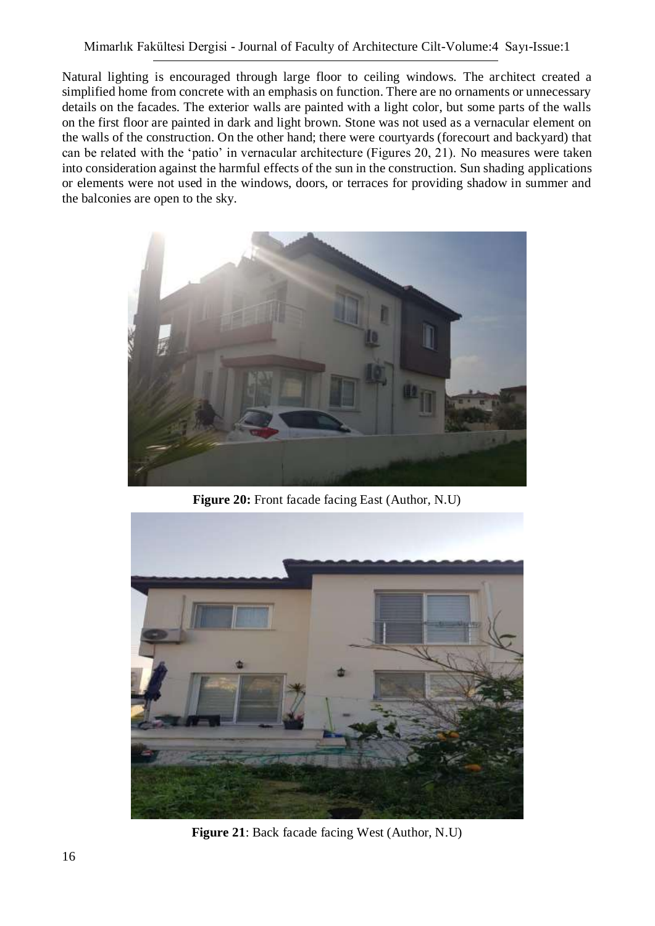Natural lighting is encouraged through large floor to ceiling windows. The architect created a simplified home from concrete with an emphasis on function. There are no ornaments or unnecessary details on the facades. The exterior walls are painted with a light color, but some parts of the walls on the first floor are painted in dark and light brown. Stone was not used as a vernacular element on the walls of the construction. On the other hand; there were courtyards (forecourt and backyard) that can be related with the 'patio' in vernacular architecture (Figures 20, 21). No measures were taken into consideration against the harmful effects of the sun in the construction. Sun shading applications or elements were not used in the windows, doors, or terraces for providing shadow in summer and the balconies are open to the sky.



**Figure 20:** Front facade facing East (Author, N.U)



**Figure 21**: Back facade facing West (Author, N.U)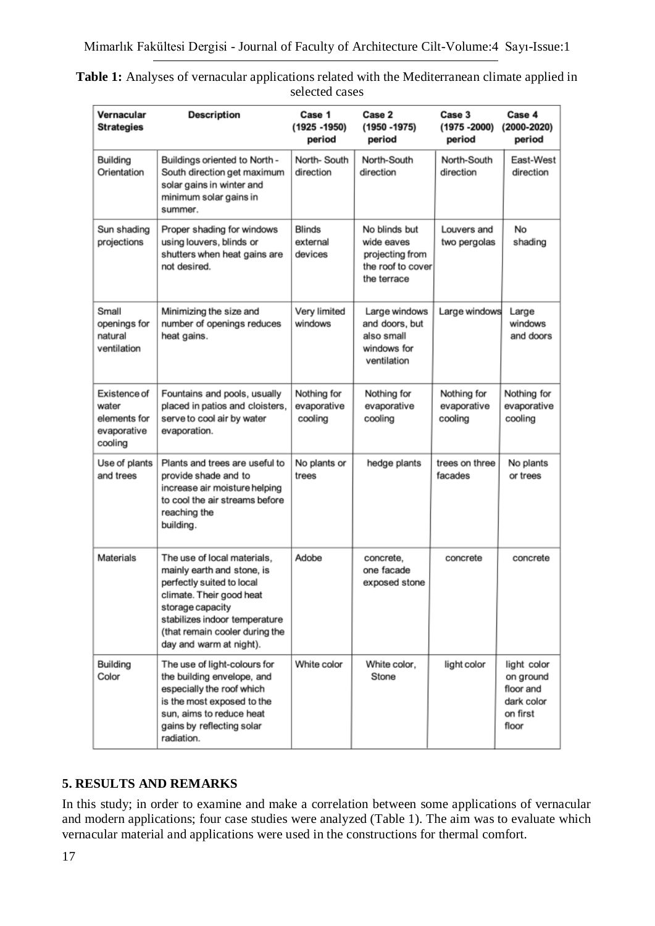| Vernacular<br><b>Strategies</b>                                 | <b>Description</b>                                                                                                                                                                                                                   | Case 1<br>$(1925 - 1950)$<br>period   | Case 2<br>$(1950 - 1975)$<br>period                                                | Case 3<br>$(1975 - 2000)$<br>period   | Case 4<br>$(2000 - 2020)$<br>period                                      |
|-----------------------------------------------------------------|--------------------------------------------------------------------------------------------------------------------------------------------------------------------------------------------------------------------------------------|---------------------------------------|------------------------------------------------------------------------------------|---------------------------------------|--------------------------------------------------------------------------|
| Building<br>Orientation                                         | Buildings oriented to North -<br>South direction get maximum<br>solar gains in winter and<br>minimum solar gains in<br>summer.                                                                                                       | North-South<br>direction              | North-South<br>direction                                                           | North-South<br>direction              | East-West<br>direction                                                   |
| Sun shading<br>projections                                      | Proper shading for windows<br>using louvers, blinds or<br>shutters when heat gains are<br>not desired.                                                                                                                               | Blinds<br>external<br>devices         | No blinds but<br>wide eaves<br>projecting from<br>the roof to cover<br>the terrace | Louvers and<br>two pergolas           | No<br>shading                                                            |
| Small<br>openings for<br>natural<br>ventilation                 | Minimizing the size and<br>number of openings reduces<br>heat gains.                                                                                                                                                                 | Very limited<br>windows               | Large windows<br>and doors, but<br>also small<br>windows for<br>ventilation        | Large windows                         | Large<br>windows<br>and doors                                            |
| Existence of<br>water<br>elements for<br>evaporative<br>cooling | Fountains and pools, usually<br>placed in patios and cloisters,<br>serve to cool air by water<br>evaporation.                                                                                                                        | Nothing for<br>evaporative<br>cooling | Nothing for<br>evaporative<br>cooling                                              | Nothing for<br>evaporative<br>cooling | Nothing for<br>evaporative<br>cooling                                    |
| Use of plants<br>and trees                                      | Plants and trees are useful to<br>provide shade and to<br>increase air moisture helping<br>to cool the air streams before<br>reaching the<br>building.                                                                               | No plants or<br>trees                 | hedge plants                                                                       | trees on three<br>facades             | No plants<br>or trees                                                    |
| Materials                                                       | The use of local materials,<br>mainly earth and stone, is<br>perfectly suited to local<br>climate. Their good heat<br>storage capacity<br>stabilizes indoor temperature<br>(that remain cooler during the<br>day and warm at night). | Adobe                                 | concrete,<br>one facade<br>exposed stone                                           | concrete                              | concrete                                                                 |
| Building<br>Color                                               | The use of light-colours for<br>the building envelope, and<br>especially the roof which<br>is the most exposed to the<br>sun, aims to reduce heat<br>gains by reflecting solar<br>radiation.                                         | White color                           | White color,<br>Stone                                                              | light color                           | light color<br>on ground<br>floor and<br>dark color<br>on first<br>floor |

| <b>Table 1:</b> Analyses of vernacular applications related with the Mediterranean climate applied in |  |
|-------------------------------------------------------------------------------------------------------|--|
| selected cases                                                                                        |  |

### **5. RESULTS AND REMARKS**

In this study; in order to examine and make a correlation between some applications of vernacular and modern applications; four case studies were analyzed (Table 1). The aim was to evaluate which vernacular material and applications were used in the constructions for thermal comfort.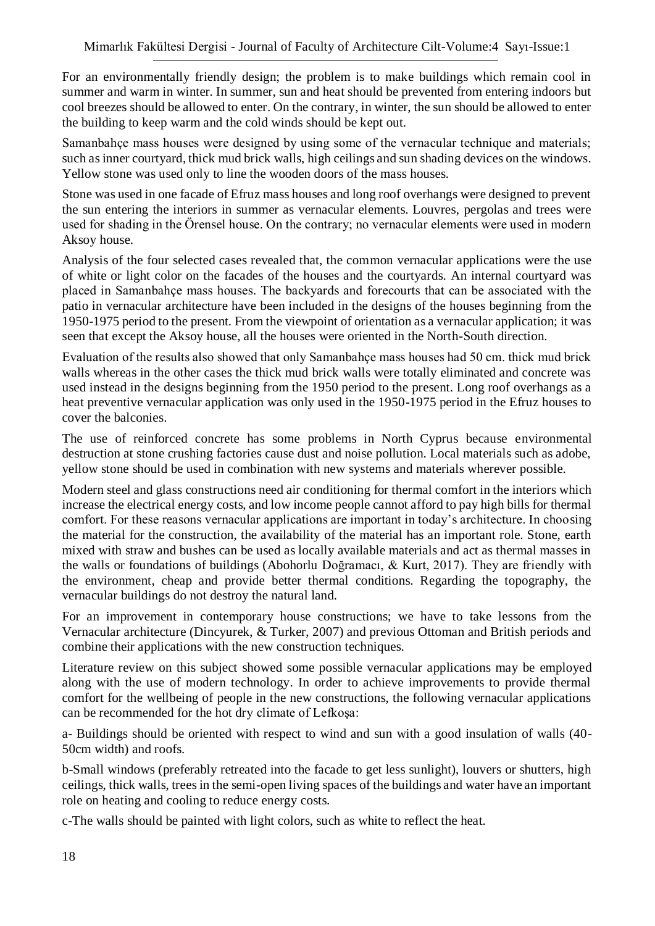For an environmentally friendly design; the problem is to make buildings which remain cool in summer and warm in winter. In summer, sun and heat should be prevented from entering indoors but cool breezes should be allowed to enter. On the contrary, in winter, the sun should be allowed to enter the building to keep warm and the cold winds should be kept out.

Samanbahçe mass houses were designed by using some of the vernacular technique and materials; such as inner courtyard, thick mud brick walls, high ceilings and sun shading devices on the windows. Yellow stone was used only to line the wooden doors of the mass houses.

Stone was used in one facade of Efruz mass houses and long roof overhangs were designed to prevent the sun entering the interiors in summer as vernacular elements. Louvres, pergolas and trees were used for shading in the Örensel house. On the contrary; no vernacular elements were used in modern Aksoy house.

Analysis of the four selected cases revealed that, the common vernacular applications were the use of white or light color on the facades of the houses and the courtyards. An internal courtyard was placed in Samanbahçe mass houses. The backyards and forecourts that can be associated with the patio in vernacular architecture have been included in the designs of the houses beginning from the 1950-1975 period to the present. From the viewpoint of orientation as a vernacular application; it was seen that except the Aksoy house, all the houses were oriented in the North-South direction.

Evaluation of the results also showed that only Samanbahçe mass houses had 50 cm. thick mud brick walls whereas in the other cases the thick mud brick walls were totally eliminated and concrete was used instead in the designs beginning from the 1950 period to the present. Long roof overhangs as a heat preventive vernacular application was only used in the 1950-1975 period in the Efruz houses to cover the balconies.

The use of reinforced concrete has some problems in North Cyprus because environmental destruction at stone crushing factories cause dust and noise pollution. Local materials such as adobe, yellow stone should be used in combination with new systems and materials wherever possible.

Modern steel and glass constructions need air conditioning for thermal comfort in the interiors which increase the electrical energy costs, and low income people cannot afford to pay high bills for thermal comfort. For these reasons vernacular applications are important in today's architecture. In choosing the material for the construction, the availability of the material has an important role. Stone, earth mixed with straw and bushes can be used as locally available materials and act as thermal masses in the walls or foundations of buildings (Abohorlu Doğramacı, & Kurt, 2017). They are friendly with the environment, cheap and provide better thermal conditions. Regarding the topography, the vernacular buildings do not destroy the natural land.

For an improvement in contemporary house constructions; we have to take lessons from the Vernacular architecture (Dincyurek, & Turker, 2007) and previous Ottoman and British periods and combine their applications with the new construction techniques.

Literature review on this subject showed some possible vernacular applications may be employed along with the use of modern technology. In order to achieve improvements to provide thermal comfort for the wellbeing of people in the new constructions, the following vernacular applications can be recommended for the hot dry climate of Lefkoşa:

a- Buildings should be oriented with respect to wind and sun with a good insulation of walls (40- 50cm width) and roofs.

b-Small windows (preferably retreated into the facade to get less sunlight), louvers or shutters, high ceilings, thick walls, trees in the semi-open living spaces of the buildings and water have an important role on heating and cooling to reduce energy costs.

c-The walls should be painted with light colors, such as white to reflect the heat.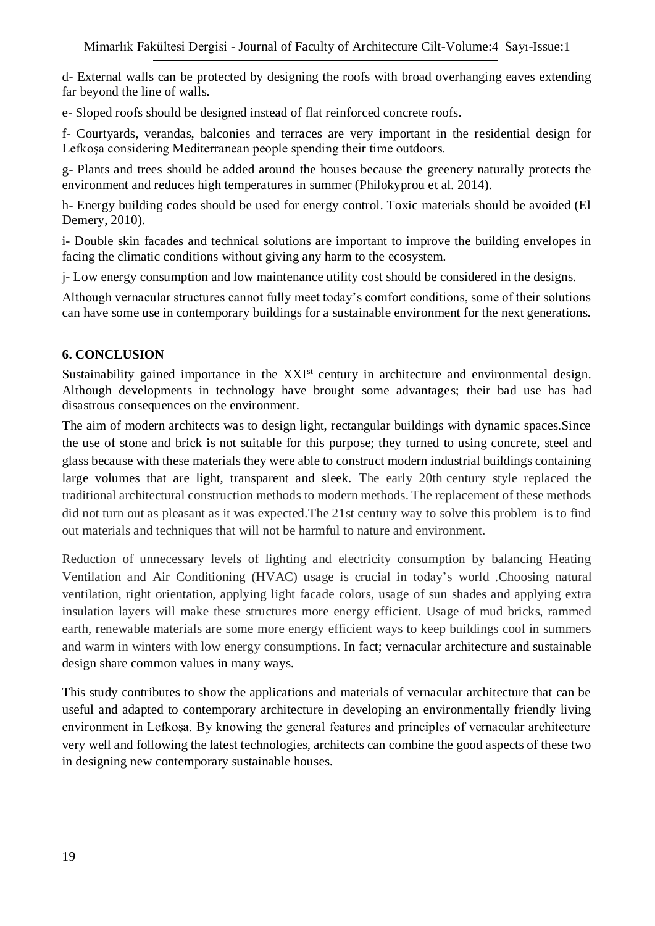d- External walls can be protected by designing the roofs with broad overhanging eaves extending far beyond the line of walls.

e- Sloped roofs should be designed instead of flat reinforced concrete roofs.

f- Courtyards, verandas, balconies and terraces are very important in the residential design for Lefkoşa considering Mediterranean people spending their time outdoors.

g- Plants and trees should be added around the houses because the greenery naturally protects the environment and reduces high temperatures in summer (Philokyprou et al. 2014).

h- Energy building codes should be used for energy control. Toxic materials should be avoided (El Demery, 2010).

i- Double skin facades and technical solutions are important to improve the building envelopes in facing the climatic conditions without giving any harm to the ecosystem.

j- Low energy consumption and low maintenance utility cost should be considered in the designs.

Although vernacular structures cannot fully meet today's comfort conditions, some of their solutions can have some use in contemporary buildings for a sustainable environment for the next generations.

#### **6. CONCLUSION**

Sustainability gained importance in the XXI<sup>st</sup> century in architecture and environmental design. Although developments in technology have brought some advantages; their bad use has had disastrous consequences on the environment.

The aim of modern architects was to design light, rectangular buildings with dynamic spaces.Since the use of stone and brick is not suitable for this purpose; they turned to using concrete, steel and glass because with these materials they were able to construct modern industrial buildings containing large volumes that are light, transparent and sleek. The early 20th century style replaced the traditional architectural construction methods to modern methods. The replacement of these methods did not turn out as pleasant as it was expected.The 21st century way to solve this problem is to find out materials and techniques that will not be harmful to nature and environment.

Reduction of unnecessary levels of lighting and electricity consumption by balancing Heating Ventilation and Air Conditioning (HVAC) usage is crucial in today's world .Choosing natural ventilation, right orientation, applying light facade colors, usage of sun shades and applying extra insulation layers will make these structures more energy efficient. Usage of mud bricks, rammed earth, renewable materials are some more energy efficient ways to keep buildings cool in summers and warm in winters with low energy consumptions. In fact; vernacular architecture and sustainable design share common values in many ways.

This study contributes to show the applications and materials of vernacular architecture that can be useful and adapted to contemporary architecture in developing an environmentally friendly living environment in Lefkoşa. By knowing the general features and principles of vernacular architecture very well and following the latest technologies, architects can combine the good aspects of these two in designing new contemporary sustainable houses.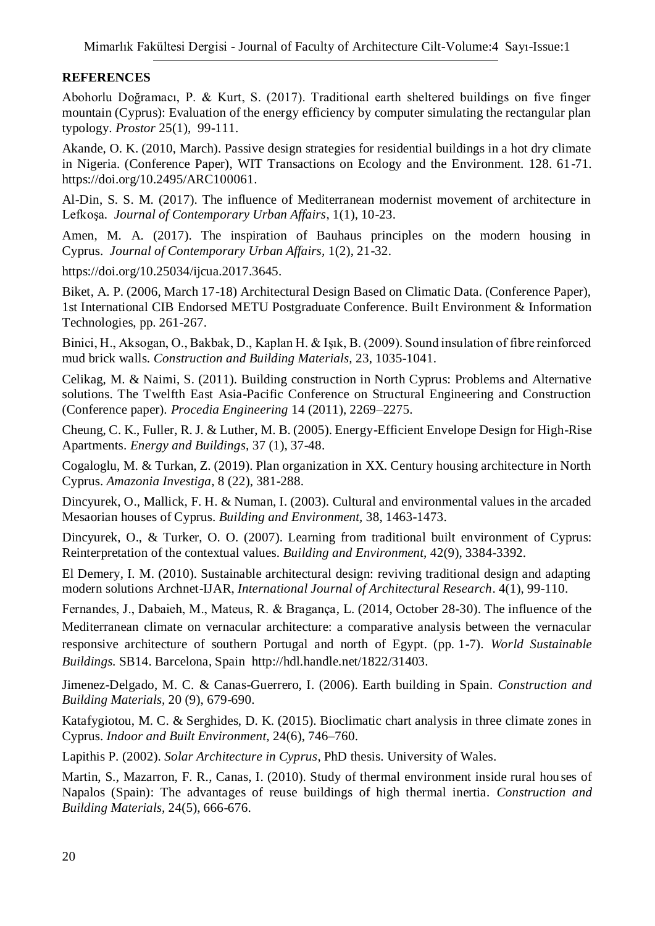### **REFERENCES**

Abohorlu Doğramacı, P. & Kurt, S. (2017). Traditional earth sheltered buildings on five finger mountain (Cyprus): Evaluation of the energy efficiency by computer simulating the rectangular plan typology. *Prostor* 25(1), 99-111.

Akande, O. K. (2010, March). Passive design strategies for residential buildings in a hot dry climate in Nigeria. (Conference Paper), WIT Transactions on Ecology and the Environment. 128. 61-71. https://doi.org/10.2495/ARC100061.

Al-Din, S. S. M. (2017). The influence of Mediterranean modernist movement of architecture in Lefkoşa*. Journal of Contemporary Urban Affairs*, 1(1), 10-23.

Amen, M. A. (2017). The inspiration of Bauhaus principles on the modern housing in Cyprus. *Journal of Contemporary Urban Affairs,* 1(2), 21-32.

https://doi.org/10.25034/ijcua.2017.3645.

Biket, A. P. (2006, March 17-18) Architectural Design Based on Climatic Data. (Conference Paper), 1st International CIB Endorsed METU Postgraduate Conference. Built Environment & Information Technologies, pp. 261-267.

Binici, H., Aksogan, O., Bakbak, D., Kaplan H. & Işık, B. (2009). Sound insulation of fibre reinforced mud brick walls. *Construction and Building Materials,* 23, 1035-1041.

Celikag, M. & Naimi, S. (2011). Building construction in North Cyprus: Problems and Alternative solutions. The Twelfth East Asia-Pacific Conference on Structural Engineering and Construction (Conference paper). *Procedia Engineering* 14 (2011), 2269–2275.

Cheung, C. K., Fuller, R. J. & Luther, M. B. (2005). Energy-Efficient Envelope Design for High-Rise Apartments. *Energy and Buildings,* 37 (1), 37-48.

Cogaloglu, M. & Turkan, Z. (2019). Plan organization in XX. Century housing architecture in North Cyprus. *Amazonia Investiga,* 8 (22), 381-288.

Dincyurek, O., Mallick, F. H. & Numan, I. (2003). Cultural and environmental values in the arcaded Mesaorian houses of Cyprus. *Building and Environment,* 38, 1463-1473.

Dincyurek, O., & Turker, O. O. (2007). Learning from traditional built environment of Cyprus: Reinterpretation of the contextual values. *Building and Environment,* 42(9), 3384-3392.

El Demery, I. M. (2010). Sustainable architectural design: reviving traditional design and adapting modern solutions Archnet-IJAR, *International Journal of Architectural Research*. 4(1), 99-110.

Fernandes, J., Dabaieh, M., Mateus, R. & Bragança, L. (2014, October 28-30). The influence of the Mediterranean climate on vernacular architecture: a comparative analysis between the vernacular responsive architecture of southern Portugal and north of Egypt. (pp. 1-7). *World Sustainable Buildings.* SB14. Barcelona, Spain http://hdl.handle.net/1822/31403.

Jimenez-Delgado, M. C. & Canas-Guerrero, I. (2006). Earth building in Spain. *Construction and Building Materials,* 20 (9), 679-690.

Katafygiotou, M. C. & Serghides, D. K. (2015). Bioclimatic chart analysis in three climate zones in Cyprus. *Indoor and Built Environment,* 24(6), 746–760.

Lapithis P. (2002). *Solar Architecture in Cyprus*, PhD thesis. University of Wales.

Martin, S., Mazarron, F. R., Canas, I. (2010). Study of thermal environment inside rural houses of Napalos (Spain): The advantages of reuse buildings of high thermal inertia. *Construction and Building Materials,* 24(5), 666-676.